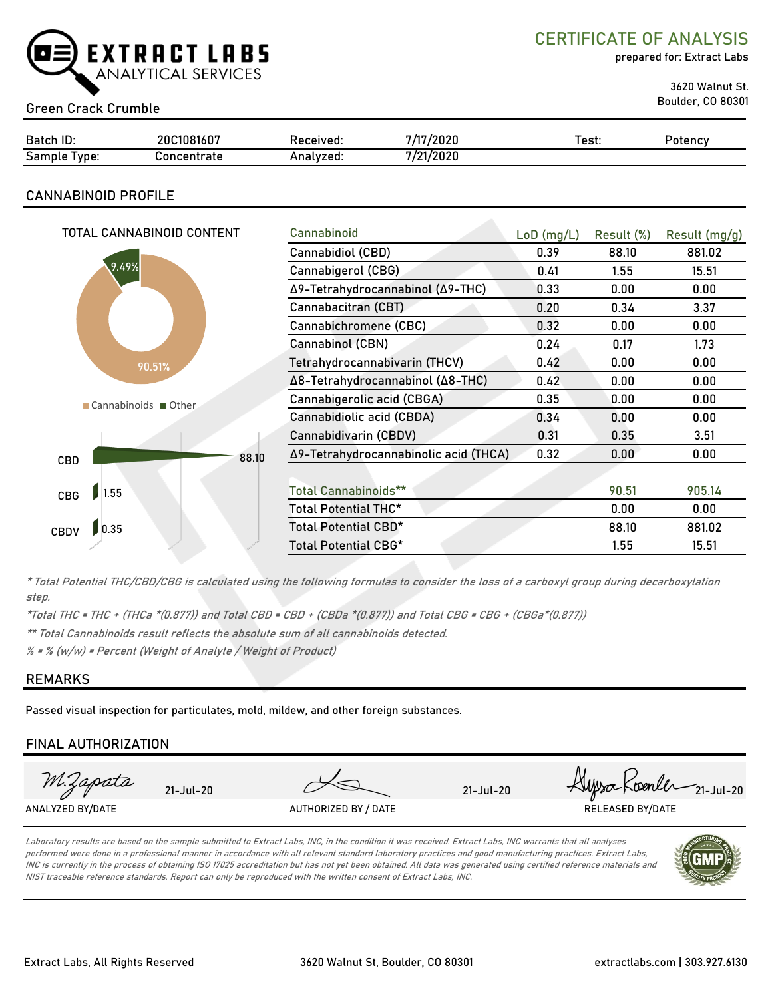

CERTIFICATE OF ANALYSIS

prepared for: Extract Labs

3620 Walnut St.

# Boulder, CO 80301 Green Crack Crumble

| Batch ID:        | 20C1081607  | Received: | /2020<br>747 | est: | Potency |
|------------------|-------------|-----------|--------------|------|---------|
| Sample<br>l vpe: | `oncentrate | Analvzed: | 7/21/2020    |      |         |

# CANNABINOID PROFILE

| TOTAL CANNABINOID CONTENT | Cannabinoid                           | $LoD$ (mg/L) | Result (%) | Result (mg/g) |
|---------------------------|---------------------------------------|--------------|------------|---------------|
|                           | Cannabidiol (CBD)                     | 0.39         | 88.10      | 881.02        |
| 9.49%                     | Cannabigerol (CBG)                    | 0.41         | 1.55       | 15.51         |
|                           | Δ9-Tetrahydrocannabinol (Δ9-THC)      | 0.33         | 0.00       | 0.00          |
|                           | Cannabacitran (CBT)                   | 0.20         | 0.34       | 3.37          |
|                           | Cannabichromene (CBC)                 | 0.32         | 0.00       | 0.00          |
|                           | Cannabinol (CBN)                      | 0.24         | 0.17       | 1.73          |
| 90.51%                    | Tetrahydrocannabivarin (THCV)         | 0.42         | 0.00       | 0.00          |
|                           | Δ8-Tetrahydrocannabinol (Δ8-THC)      | 0.42         | 0.00       | 0.00          |
| Cannabinoids Other        | Cannabigerolic acid (CBGA)            | 0.35         | 0.00       | 0.00          |
|                           | Cannabidiolic acid (CBDA)             | 0.34         | 0.00       | 0.00          |
|                           | Cannabidivarin (CBDV)                 | 0.31         | 0.35       | 3.51          |
| 88.10<br>CBD              | Δ9-Tetrahydrocannabinolic acid (THCA) | 0.32         | 0.00       | 0.00          |
|                           |                                       |              |            |               |
| 1.55<br>CBG               | <b>Total Cannabinoids**</b>           |              | 90.51      | 905.14        |
|                           | Total Potential THC*                  |              | 0.00       | 0.00          |
| 0.35<br>CBDV              | Total Potential CBD*                  |              | 88.10      | 881.02        |
|                           | Total Potential CBG*                  |              | 1.55       | 15.51         |

\* Total Potential THC/CBD/CBG is calculated using the following formulas to consider the loss of a carboxyl group during decarboxylation step.

\*Total THC = THC + (THCa \*(0.877)) and Total CBD = CBD + (CBDa \*(0.877)) and Total CBG = CBG + (CBGa\*(0.877))

\*\* Total Cannabinoids result reflects the absolute sum of all cannabinoids detected.

 $% =$  % (w/w) = Percent (Weight of Analyte / Weight of Product)

## REMARKS

Passed visual inspection for particulates, mold, mildew, and other foreign substances.

## FINAL AUTHORIZATION



Laboratory results are based on the sample submitted to Extract Labs, INC, in the condition it was received. Extract Labs, INC warrants that all analyses performed were done in a professional manner in accordance with all relevant standard laboratory practices and good manufacturing practices. Extract Labs, INC is currently in the process of obtaining ISO 17025 accreditation but has not yet been obtained. All data was generated using certified reference materials and NIST traceable reference standards. Report can only be reproduced with the written consent of Extract Labs, INC.

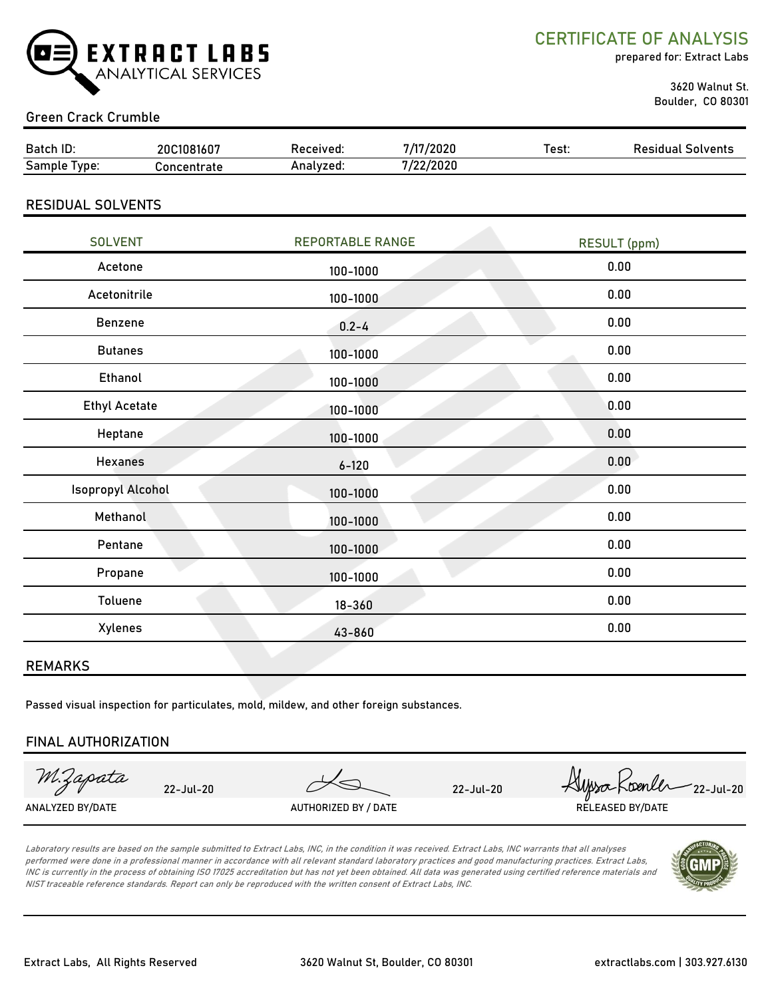

CERTIFICATE OF ANALYSIS

prepared for: Extract Labs

 3620 Walnut St. Boulder, CO 80301

# Green Crack Crumble

| Batch ID:                | 20C1081607  | Received: | 7/17/2020 | Test: | <b>Residual Solvents</b> |
|--------------------------|-------------|-----------|-----------|-------|--------------------------|
| Sample Type:             | Concentrate | Analyzed: | 7/22/2020 |       |                          |
| <b>RESIDUAL SOLVENTS</b> |             |           |           |       |                          |

| <b>SOLVENT</b>           | <b>REPORTABLE RANGE</b> | <b>RESULT</b> (ppm) |
|--------------------------|-------------------------|---------------------|
| Acetone                  | 100-1000                | 0.00                |
| Acetonitrile             | 100-1000                | 0.00                |
| Benzene                  | $0.2 - 4$               | 0.00                |
| <b>Butanes</b>           | 100-1000                | 0.00                |
| Ethanol                  | 100-1000                | 0.00                |
| <b>Ethyl Acetate</b>     | 100-1000                | 0.00                |
| Heptane                  | 100-1000                | 0.00                |
| <b>Hexanes</b>           | $6 - 120$               | 0.00                |
| <b>Isopropyl Alcohol</b> | 100-1000                | 0.00                |
| Methanol                 | 100-1000                | 0.00                |
| Pentane                  | 100-1000                | 0.00                |
| Propane                  | 100-1000                | 0.00                |
| Toluene                  | $18 - 360$              | 0.00                |
| <b>Xylenes</b>           | 43-860                  | 0.00                |

#### REMARKS

Passed visual inspection for particulates, mold, mildew, and other foreign substances.

#### FINAL AUTHORIZATION

M.Zapata

22-Jul-20 22-Jul-20  $\mu$  22-Jul-20  $\mu$  22-Jul-20 ANALYZED BY/DATE AUTHORIZED BY / DATE AUTHORIZED BY / DATE RELEASED BY/DATE

Laboratory results are based on the sample submitted to Extract Labs, INC, in the condition it was received. Extract Labs, INC warrants that all analyses performed were done in a professional manner in accordance with all relevant standard laboratory practices and good manufacturing practices. Extract Labs, INC is currently in the process of obtaining ISO 17025 accreditation but has not yet been obtained. All data was generated using certified reference materials and NIST traceable reference standards. Report can only be reproduced with the written consent of Extract Labs, INC.